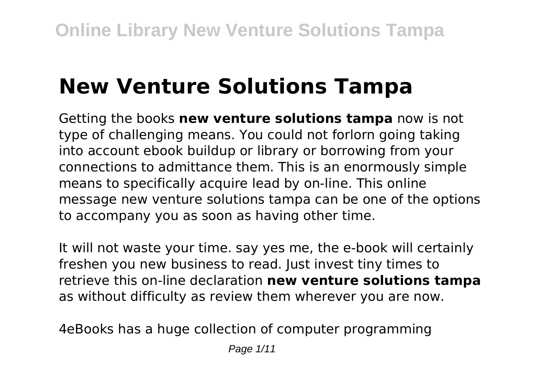# **New Venture Solutions Tampa**

Getting the books **new venture solutions tampa** now is not type of challenging means. You could not forlorn going taking into account ebook buildup or library or borrowing from your connections to admittance them. This is an enormously simple means to specifically acquire lead by on-line. This online message new venture solutions tampa can be one of the options to accompany you as soon as having other time.

It will not waste your time. say yes me, the e-book will certainly freshen you new business to read. Just invest tiny times to retrieve this on-line declaration **new venture solutions tampa** as without difficulty as review them wherever you are now.

4eBooks has a huge collection of computer programming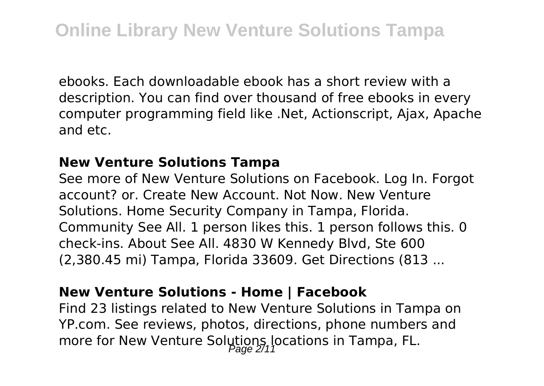ebooks. Each downloadable ebook has a short review with a description. You can find over thousand of free ebooks in every computer programming field like .Net, Actionscript, Ajax, Apache and etc.

#### **New Venture Solutions Tampa**

See more of New Venture Solutions on Facebook. Log In. Forgot account? or. Create New Account. Not Now. New Venture Solutions. Home Security Company in Tampa, Florida. Community See All. 1 person likes this. 1 person follows this. 0 check-ins. About See All. 4830 W Kennedy Blvd, Ste 600 (2,380.45 mi) Tampa, Florida 33609. Get Directions (813 ...

#### **New Venture Solutions - Home | Facebook**

Find 23 listings related to New Venture Solutions in Tampa on YP.com. See reviews, photos, directions, phone numbers and more for New Venture Solutions locations in Tampa, FL.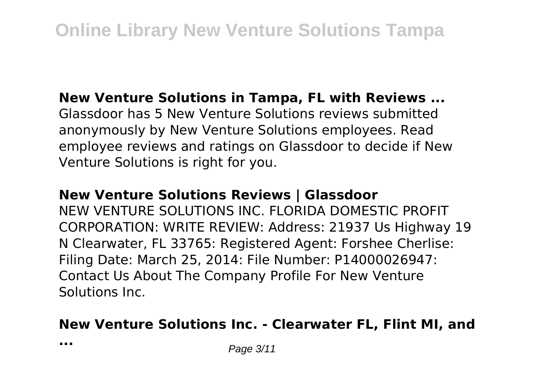#### **New Venture Solutions in Tampa, FL with Reviews ...**

Glassdoor has 5 New Venture Solutions reviews submitted anonymously by New Venture Solutions employees. Read employee reviews and ratings on Glassdoor to decide if New Venture Solutions is right for you.

#### **New Venture Solutions Reviews | Glassdoor**

NEW VENTURE SOLUTIONS INC. FLORIDA DOMESTIC PROFIT CORPORATION: WRITE REVIEW: Address: 21937 Us Highway 19 N Clearwater, FL 33765: Registered Agent: Forshee Cherlise: Filing Date: March 25, 2014: File Number: P14000026947: Contact Us About The Company Profile For New Venture Solutions Inc.

## **New Venture Solutions Inc. - Clearwater FL, Flint MI, and**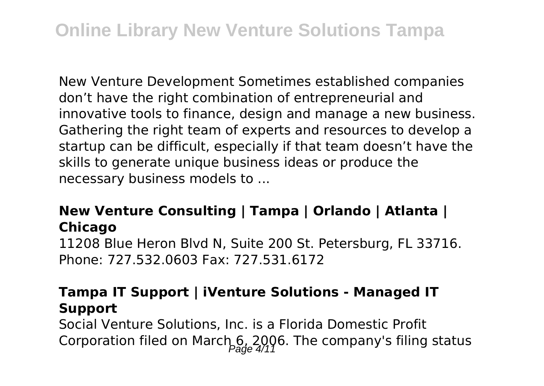New Venture Development Sometimes established companies don't have the right combination of entrepreneurial and innovative tools to finance, design and manage a new business. Gathering the right team of experts and resources to develop a startup can be difficult, especially if that team doesn't have the skills to generate unique business ideas or produce the necessary business models to ...

## **New Venture Consulting | Tampa | Orlando | Atlanta | Chicago**

11208 Blue Heron Blvd N, Suite 200 St. Petersburg, FL 33716. Phone: 727.532.0603 Fax: 727.531.6172

## **Tampa IT Support | iVenture Solutions - Managed IT Support**

Social Venture Solutions, Inc. is a Florida Domestic Profit Corporation filed on March 6, 2006. The company's filing status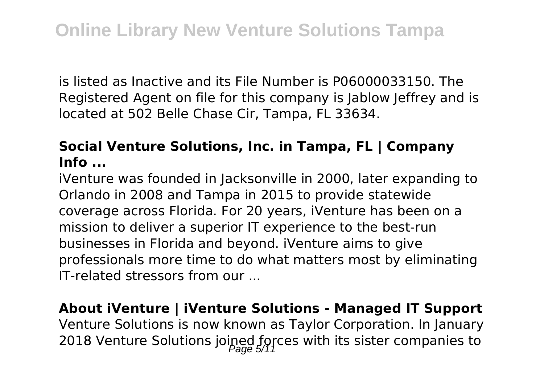is listed as Inactive and its File Number is P06000033150. The Registered Agent on file for this company is Jablow Jeffrey and is located at 502 Belle Chase Cir, Tampa, FL 33634.

## **Social Venture Solutions, Inc. in Tampa, FL | Company Info ...**

iVenture was founded in Jacksonville in 2000, later expanding to Orlando in 2008 and Tampa in 2015 to provide statewide coverage across Florida. For 20 years, iVenture has been on a mission to deliver a superior IT experience to the best-run businesses in Florida and beyond. iVenture aims to give professionals more time to do what matters most by eliminating IT-related stressors from our ...

**About iVenture | iVenture Solutions - Managed IT Support** Venture Solutions is now known as Taylor Corporation. In January 2018 Venture Solutions joined forces with its sister companies to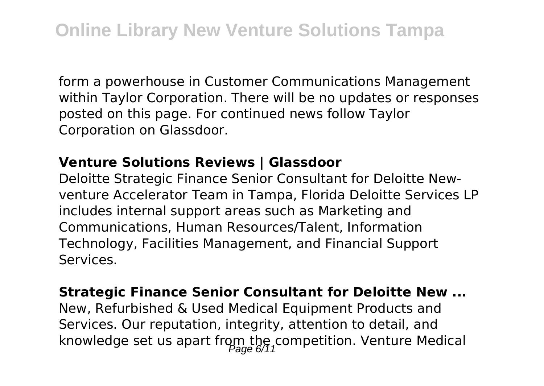form a powerhouse in Customer Communications Management within Taylor Corporation. There will be no updates or responses posted on this page. For continued news follow Taylor Corporation on Glassdoor.

#### **Venture Solutions Reviews | Glassdoor**

Deloitte Strategic Finance Senior Consultant for Deloitte Newventure Accelerator Team in Tampa, Florida Deloitte Services LP includes internal support areas such as Marketing and Communications, Human Resources/Talent, Information Technology, Facilities Management, and Financial Support Services.

#### **Strategic Finance Senior Consultant for Deloitte New ...**

New, Refurbished & Used Medical Equipment Products and Services. Our reputation, integrity, attention to detail, and knowledge set us apart from the competition. Venture Medical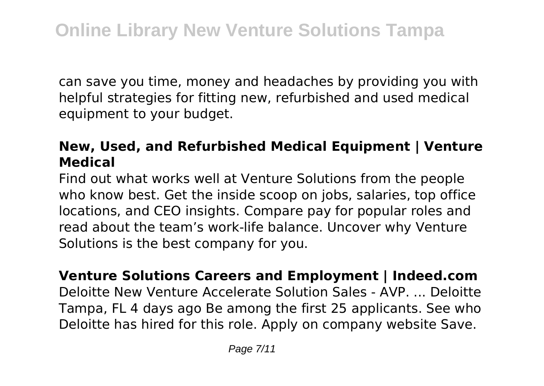can save you time, money and headaches by providing you with helpful strategies for fitting new, refurbished and used medical equipment to your budget.

## **New, Used, and Refurbished Medical Equipment | Venture Medical**

Find out what works well at Venture Solutions from the people who know best. Get the inside scoop on jobs, salaries, top office locations, and CEO insights. Compare pay for popular roles and read about the team's work-life balance. Uncover why Venture Solutions is the best company for you.

**Venture Solutions Careers and Employment | Indeed.com** Deloitte New Venture Accelerate Solution Sales - AVP. ... Deloitte Tampa, FL 4 days ago Be among the first 25 applicants. See who Deloitte has hired for this role. Apply on company website Save.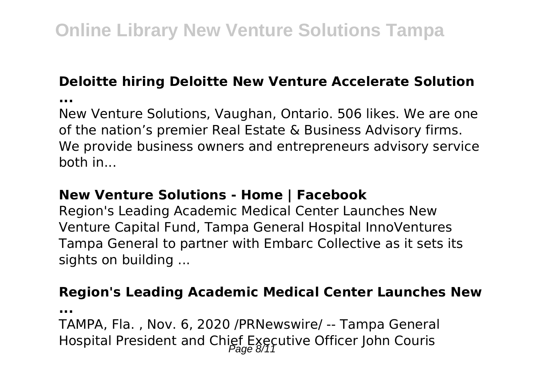## **Deloitte hiring Deloitte New Venture Accelerate Solution**

**...**

New Venture Solutions, Vaughan, Ontario. 506 likes. We are one of the nation's premier Real Estate & Business Advisory firms. We provide business owners and entrepreneurs advisory service both in...

## **New Venture Solutions - Home | Facebook**

Region's Leading Academic Medical Center Launches New Venture Capital Fund, Tampa General Hospital InnoVentures Tampa General to partner with Embarc Collective as it sets its sights on building ...

## **Region's Leading Academic Medical Center Launches New**

**...**

TAMPA, Fla. , Nov. 6, 2020 /PRNewswire/ -- Tampa General Hospital President and Chief Executive Officer John Couris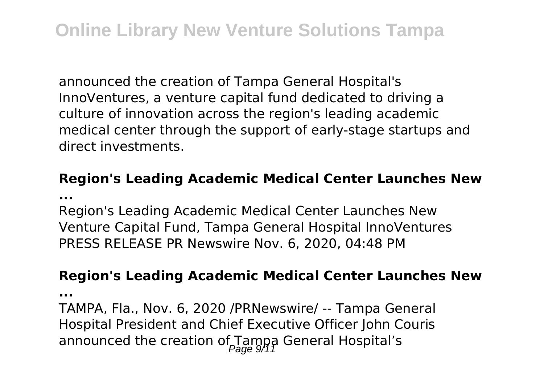announced the creation of Tampa General Hospital's InnoVentures, a venture capital fund dedicated to driving a culture of innovation across the region's leading academic medical center through the support of early-stage startups and direct investments.

#### **Region's Leading Academic Medical Center Launches New ...**

Region's Leading Academic Medical Center Launches New Venture Capital Fund, Tampa General Hospital InnoVentures PRESS RELEASE PR Newswire Nov. 6, 2020, 04:48 PM

#### **Region's Leading Academic Medical Center Launches New**

**...**

TAMPA, Fla., Nov. 6, 2020 /PRNewswire/ -- Tampa General Hospital President and Chief Executive Officer John Couris announced the creation of Tampa General Hospital's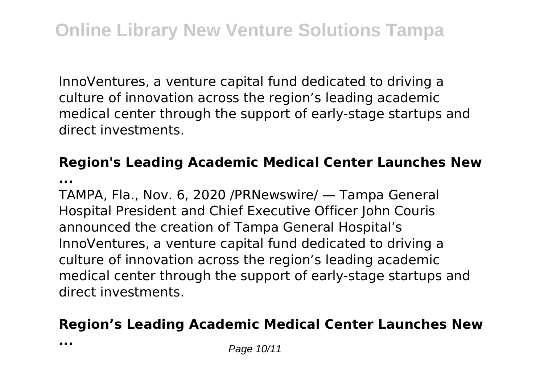InnoVentures, a venture capital fund dedicated to driving a culture of innovation across the region's leading academic medical center through the support of early-stage startups and direct investments.

## **Region's Leading Academic Medical Center Launches New**

**...**

TAMPA, Fla., Nov. 6, 2020 /PRNewswire/ — Tampa General Hospital President and Chief Executive Officer John Couris announced the creation of Tampa General Hospital's InnoVentures, a venture capital fund dedicated to driving a culture of innovation across the region's leading academic medical center through the support of early-stage startups and direct investments.

## **Region's Leading Academic Medical Center Launches New**